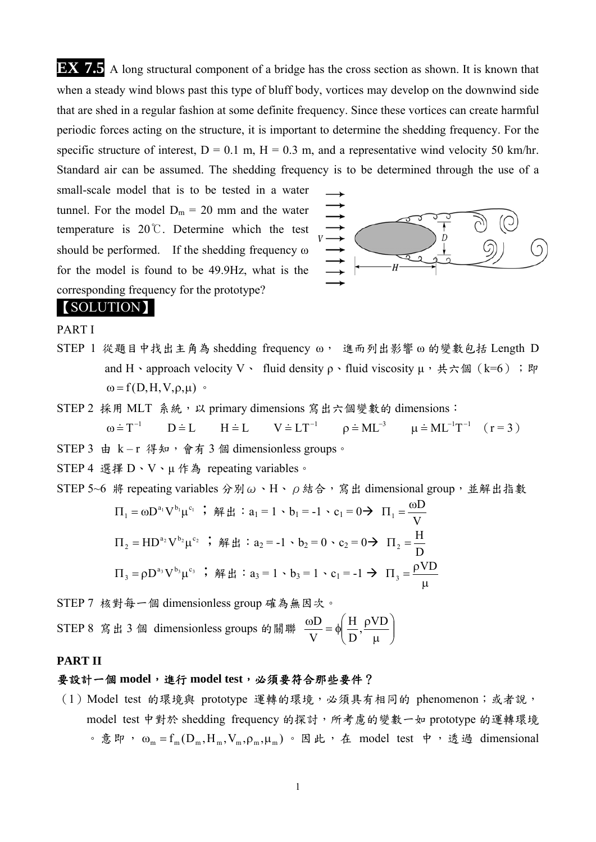**EX 7.5** A long structural component of a bridge has the cross section as shown. It is known that when a steady wind blows past this type of bluff body, vortices may develop on the downwind side that are shed in a regular fashion at some definite frequency. Since these vortices can create harmful periodic forces acting on the structure, it is important to determine the shedding frequency. For the specific structure of interest,  $D = 0.1$  m,  $H = 0.3$  m, and a representative wind velocity 50 km/hr. Standard air can be assumed. The shedding frequency is to be determined through the use of a

small-scale model that is to be tested in a water tunnel. For the model  $D_m = 20$  mm and the water temperature is 20℃. Determine which the test should be performed. If the shedding frequency ω for the model is found to be 49.9Hz, what is the corresponding frequency for the prototype?



# 【SOLUTION】

PART I

STEP 1 從題目中找出主角為 shedding frequency ω, 進而列出影響ω的變數包括 Length D and H · approach velocity V · fluid density  $\rho$  · fluid viscosity  $\mu$  ·  $\# \nightharpoonup \#$  (k=6); P  $\omega = f(D,H,V,\rho,\mu)$  .

STEP 2 採用 MLT 系統,以 primary dimensions 寫出六個變數的 dimensions:

$$
\omega = T^{-1} \qquad D = L \qquad H = L \qquad V = LT^{-1} \qquad \rho = ML^{-3} \qquad \mu = ML^{-1}T^{-1} \quad (r = 3)
$$

STEP 3 由 k-r 得知,會有 3 個 dimensionless groups。

STEP 4 選擇 D、V、μ作為 repeating variables。

STEP 5~6 將 repeating variables 分別ω、H、 $\rho$  結合, 寫出 dimensional group, 並解出指數

$$
\Pi_1 = \omega D^{a_1} V^{b_1} \mu^{c_1} \; ; \; \mathfrak{R} \sharp \mathfrak{R} : a_1 = 1 \cdot b_1 = -1 \cdot c_1 = 0 \to \Pi_1 = \frac{\omega D}{V}
$$
\n
$$
\Pi_2 = \text{HD}^{a_2} V^{b_2} \mu^{c_2} \; ; \; \mathfrak{R} \sharp \mathfrak{R} : a_2 = -1 \cdot b_2 = 0 \cdot c_2 = 0 \to \Pi_2 = \frac{H}{D}
$$
\n
$$
\Pi_3 = \rho D^{a_3} V^{b_3} \mu^{c_3} \; ; \; \mathfrak{R} \sharp \mathfrak{R} : a_3 = 1 \cdot b_3 = 1 \cdot c_1 = -1 \to \Pi_3 = \frac{\rho V D}{\mu}
$$

STEP 7 核對每一個 dimensionless group 確為無因次。

STEP 8 寫出 3 個 dimensionless groups 的關聯  $\frac{0.00}{V} = \phi \left| \frac{11}{D}, \frac{P}{U} \right|$  $\left(\frac{\textrm{H}}{\textrm{D}},\frac{\rho \textrm{VD}}{\textrm{\mu}}\right)$  $\setminus$ ſ  $\frac{\omega D}{V} = \phi \left( \frac{H}{D}, \frac{\rho V D}{\mu} \right)$ V D

### **PART II**

## 要設計一個 **model**,進行 **model test**,必須要符合那些要件?

(1) Model test 的環境與 prototype 運轉的環境,必須具有相同的 phenomenon;或者說, model test 中對於 shedding frequency 的探討,所考慮的變數一如 prototype 的運轉環境  $\delta$  意即,  $\omega_{\rm m}$  = f<sub>m</sub>(D<sub>m</sub>,H<sub>m</sub>,V<sub>m</sub>,P<sub>m</sub>, $\mu_{\rm m}$ ) · 因此, 在 model test 中, 透過 dimensional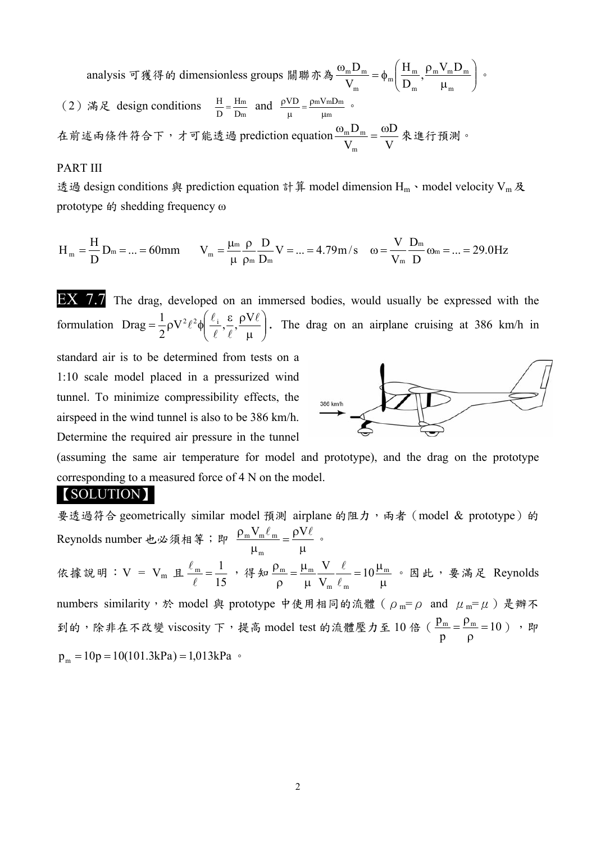analysis 可獲得的 dimensionless groups 關聯亦為 $\frac{\omega_{\rm m}D_{\rm m}}{\rm V} = \phi_{\rm m} \left[ \frac{\Gamma_{\rm m}}{\rm D}, \frac{p_{\rm m} \nu_{\rm m} D_{\rm m}}{\rm U} \right]$  $\bigg)$  $\left( \right)$  $\overline{\phantom{a}}$  $\overline{\mathcal{L}}$ ſ  $\mu$  $\frac{\omega_{\rm m}D_{\rm m}}{\sqrt{2\pi}} = \phi_{\rm m} \left( \frac{H_{\rm m}}{\sqrt{2\pi}} \right)$ m  $m \cdot m$ <sub>m</sub> m  $\frac{11}{n}$  $\frac{m_{m}}{V_{m}} = \phi_{m} \left( \frac{H_{m}}{D_{m}}, \frac{\rho_{m} V_{m} D}{\mu_{m}} \right)$ V  $\frac{D_m}{D_m} = \phi_m \left( \frac{H_m}{D_m}, \frac{\rho_m V_m D_m}{D_m} \right)$ . (2) 滿足 design conditions  $\frac{H}{D} = \frac{Hm}{Dm}$ D H  $\frac{H}{D} = \frac{Hm}{Dm}$  and  $\frac{\rho V D}{\mu} = \frac{\rho m V m Dm}{\mu m}$  $\frac{\rho V D}{\mu} = \frac{\rho m V m D m}{\mu m}$  . 在前述兩條件符合下,才可能透過 prediction equation  $\frac{\omega_{\rm m} \text{D}_{\rm m}}{\text{V}_{\rm m}} = \frac{\omega \text{D}}{\text{V}}$ V D m  $\frac{\omega_{\rm m} \mathbf{D}_{\rm m}}{\mathbf{D}_{\rm m}} = \frac{\omega \mathbf{D}}{\mathbf{D}_{\rm m}} \hat{\mathbf{R}}$ 進行預測。

### PART III

透過 design conditions 與 prediction equation 計算 model dimension H<sub>m</sub> · model velocity V<sub>m</sub> 及 prototype 的 shedding frequency ω

$$
H_{_m}=\frac{H}{D}\,D_m=...=60mm\qquad V_{_m}=\frac{\mu_{^m}}{\mu}\frac{\rho}{\rho_{^m}}\frac{D}{D_m}\,V=...=4.79m\,/\text{s}\quad\omega=\frac{V}{V_m}\frac{D_m}{D}\,\omega_m=...=29.0Hz
$$

EX 7.7 The drag, developed on an immersed bodies, would usually be expressed with the formulation  $\text{Drag} = \frac{1}{2} \rho V^2 \ell^2 \phi \left| \frac{\partial \psi}{\partial \rho}, \frac{\partial \psi}{\partial \rho} \right|$  $\left(\frac{\ell_i}{\ell}, \frac{\varepsilon}{\ell}, \frac{\rho V \ell}{\mu}\right)$  $\setminus$ ſ  $\mu$  $=\frac{1}{2}\rho V^2\ell^2\phi\left(\frac{\ell_i}{r},\frac{\varepsilon}{r},\frac{\rho V\ell}{r}\right)$  $\text{Diag} = \frac{1}{2} \rho V^2 \ell^2 \phi \left( \frac{\ell_i}{\ell}, \frac{\varepsilon}{\ell}, \frac{\rho V \ell}{\mu} \right)$ . The drag on an airplane cruising at 386 km/h in

standard air is to be determined from tests on a 1:10 scale model placed in a pressurized wind tunnel. To minimize compressibility effects, the airspeed in the wind tunnel is also to be 386 km/h. Determine the required air pressure in the tunnel



(assuming the same air temperature for model and prototype), and the drag on the prototype corresponding to a measured force of 4 N on the model.

## 【SOLUTION】

要透過符合 geometrically similar model 預測 airplane 的阻力,兩者 (model & prototype)的 Reynolds number 也必須相等;即  $\frac{\rho_{\rm m} V_{\rm m} \ell_{\rm m}}{\mu_{\rm m}} = \frac{\rho V \ell}{\mu}$ m  $\frac{m \cdot m}{m} = \frac{p \cdot n}{m}$ 依據說明:  $V = V_m \perp$  $\frac{\ell_{\rm m}}{\ell}$  =  $\frac{1}{15}$  , 得知  $\frac{\rho_m}{\rho} = \frac{\mu_m}{\mu} \frac{V}{V_m} \frac{\ell}{\ell_m} = 10 \frac{\mu_m}{\mu}$  $m \sim m$  $\frac{m}{m} = \frac{\mu_m}{m} \frac{v}{m} = 10$ V V  $\ell$  $\frac{\ell}{n} = 10 \frac{\mu_m}{n}$ 。因此,要满足 Reynolds numbers similarity, 於 model 與 prototype 中使用相同的流體 ( $ρ_m = ρ$  and  $μ_m = μ$ ) 是辦不 到的,除非在不改變 viscosity 下,提高 model test 的流體壓力至 10 倍 (  $\frac{\mathsf{P}\mathsf{m}}{\mathsf{m}} = 10$  $\frac{p_m}{p} = \frac{\rho_m}{\rho} = 10$  )  $\theta$  $p_m = 10p = 10(101.3kPa) = 1,013kPa$   $\circ$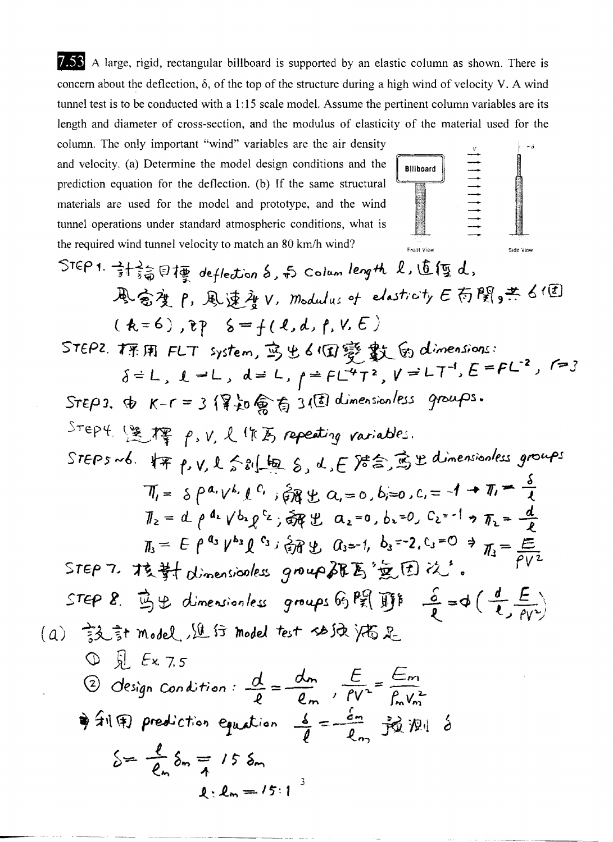7.53 A large, rigid, rectangular billboard is supported by an elastic column as shown. There is concern about the deflection,  $\delta$ , of the top of the structure during a high wind of velocity V. A wind tunnel test is to be conducted with a 1:15 scale model. Assume the pertinent column variables are its length and diameter of cross-section, and the modulus of elasticity of the material used for the

column. The only important "wind" variables are the air density and velocity. (a) Determine the model design conditions and the prediction equation for the deflection. (b) If the same structural materials are used for the model and prototype, and the wind tunnel operations under standard atmospheric conditions, what is the required wind tunnel velocity to match an 80 km/h wind?



STEP1. 
$$
\frac{1}{3}+\frac{2}{30}
$$
 or  $\frac{1}{20}$  of the  $\frac{1}{20}$  of the  $\frac{1}{20}$  of the  $\frac{1}{20}$  of the  $\frac{1}{20}$  of the  $\frac{1}{20}$  of the  $\frac{1}{20}$  of the  $\frac{1}{20}$  of the  $\frac{1}{20}$  of the  $\frac{1}{20}$  of the  $\frac{1}{20}$  of the  $\frac{1}{20}$  of the  $\frac{1}{20}$  of the  $\frac{1}{20}$  of the  $\frac{1}{20}$  of the  $\frac{1}{20}$  of the  $\frac{1}{20}$  of the  $\frac{1}{20}$  of the  $\frac{1}{20}$  of the  $\frac{1}{20}$  of the  $\frac{1}{20}$  of the  $\frac{1}{20}$  of the  $\frac{1}{20}$  of the  $\frac{1}{20}$  of the  $\frac{1}{20}$  of the  $\frac{1}{20}$  of the  $\frac{1}{20}$  of the  $\frac{1}{20}$  of the  $\frac{1}{20}$  of the  $\frac{1}{20}$  of the  $\frac{1}{20}$  of the  $\frac{1}{20}$  of the  $\frac{1}{20}$  of the  $\frac{1}{20}$  of the  $\frac{1}{20}$  of the  $\frac{1}{20}$  of the  $\frac{1}{20}$  of the  $\frac{1}{20}$  of the  $\frac{1}{20}$  of the  $\frac{1}{20}$  of the  $\frac{1}{20}$  of the  $\frac{1}{20}$  of the  $\frac{1}{20}$  of the  $\frac{1}{20}$  of the  $\frac{1}{20}$  of the  $\frac{1}{20}$  of the  $\frac{1}{20}$  of the  $\frac{1}{20}$  of the  $\frac{1}{20}$  of the  $\frac{1}{20}$  of the  $\frac{1}{20}$  of the  $\frac{1}{20}$  of the  $\frac{1}{20}$